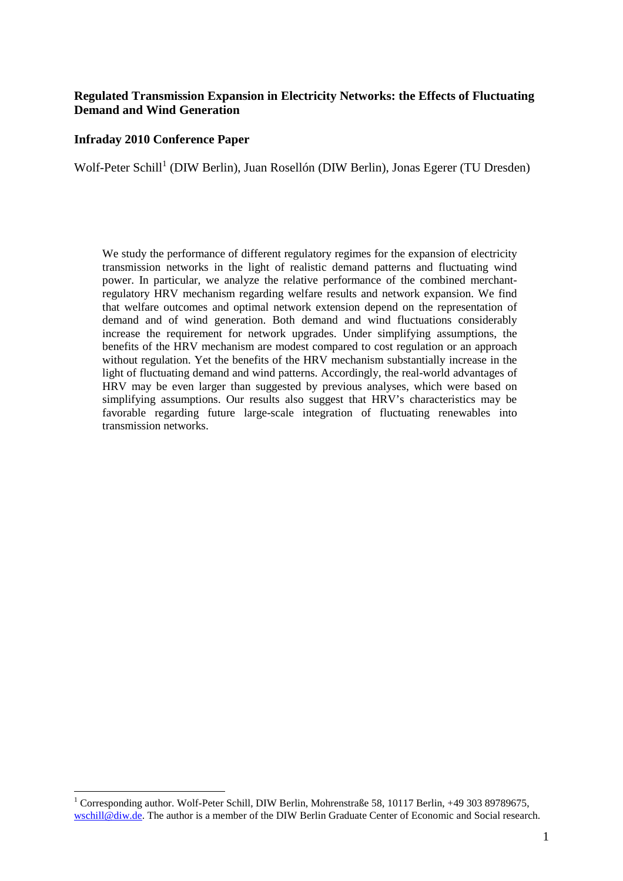#### **Regulated Transmission Expansion in Electricity Networks: the Effects of Fluctuating Demand and Wind Generation**

#### **Infraday 2010 Conference Paper**

 $\overline{a}$ 

Wolf-Peter Schill<sup>1</sup> (DIW Berlin), Juan Rosellón (DIW Berlin), Jonas Egerer (TU Dresden)

We study the performance of different regulatory regimes for the expansion of electricity transmission networks in the light of realistic demand patterns and fluctuating wind power. In particular, we analyze the relative performance of the combined merchantregulatory HRV mechanism regarding welfare results and network expansion. We find that welfare outcomes and optimal network extension depend on the representation of demand and of wind generation. Both demand and wind fluctuations considerably increase the requirement for network upgrades. Under simplifying assumptions, the benefits of the HRV mechanism are modest compared to cost regulation or an approach without regulation. Yet the benefits of the HRV mechanism substantially increase in the light of fluctuating demand and wind patterns. Accordingly, the real-world advantages of HRV may be even larger than suggested by previous analyses, which were based on simplifying assumptions. Our results also suggest that HRV's characteristics may be favorable regarding future large-scale integration of fluctuating renewables into transmission networks.

<sup>&</sup>lt;sup>1</sup> Corresponding author. Wolf-Peter Schill, DIW Berlin, Mohrenstraße 58, 10117 Berlin, +49 303 89789675, wschill@diw.de. The author is a member of the DIW Berlin Graduate Center of Economic and Social research.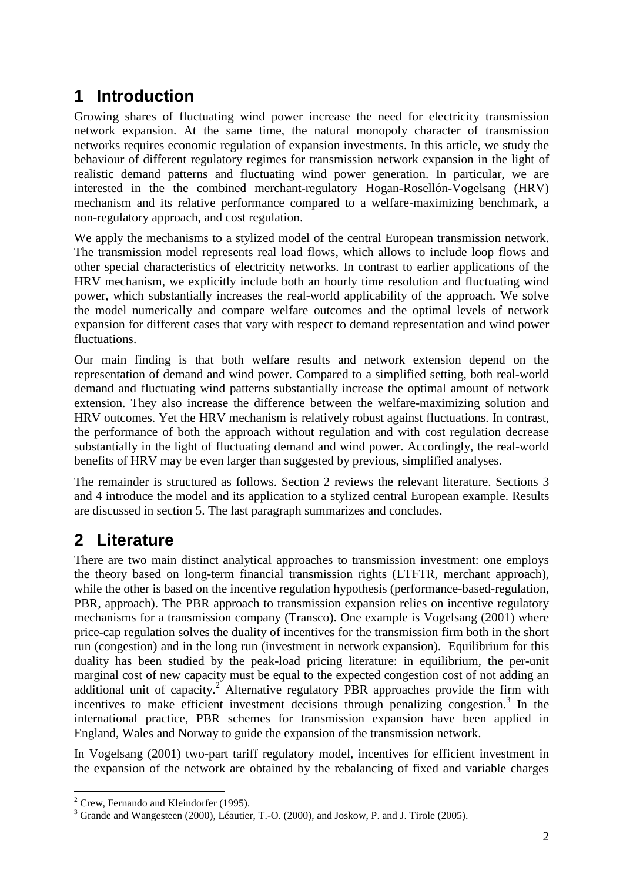# **1 Introduction**

Growing shares of fluctuating wind power increase the need for electricity transmission network expansion. At the same time, the natural monopoly character of transmission networks requires economic regulation of expansion investments. In this article, we study the behaviour of different regulatory regimes for transmission network expansion in the light of realistic demand patterns and fluctuating wind power generation. In particular, we are interested in the the combined merchant-regulatory Hogan-Rosellón-Vogelsang (HRV) mechanism and its relative performance compared to a welfare-maximizing benchmark, a non-regulatory approach, and cost regulation.

We apply the mechanisms to a stylized model of the central European transmission network. The transmission model represents real load flows, which allows to include loop flows and other special characteristics of electricity networks. In contrast to earlier applications of the HRV mechanism, we explicitly include both an hourly time resolution and fluctuating wind power, which substantially increases the real-world applicability of the approach. We solve the model numerically and compare welfare outcomes and the optimal levels of network expansion for different cases that vary with respect to demand representation and wind power fluctuations.

Our main finding is that both welfare results and network extension depend on the representation of demand and wind power. Compared to a simplified setting, both real-world demand and fluctuating wind patterns substantially increase the optimal amount of network extension. They also increase the difference between the welfare-maximizing solution and HRV outcomes. Yet the HRV mechanism is relatively robust against fluctuations. In contrast, the performance of both the approach without regulation and with cost regulation decrease substantially in the light of fluctuating demand and wind power. Accordingly, the real-world benefits of HRV may be even larger than suggested by previous, simplified analyses.

The remainder is structured as follows. Section 2 reviews the relevant literature. Sections 3 and 4 introduce the model and its application to a stylized central European example. Results are discussed in section 5. The last paragraph summarizes and concludes.

## **2 Literature**

There are two main distinct analytical approaches to transmission investment: one employs the theory based on long-term financial transmission rights (LTFTR*,* merchant approach), while the other is based on the incentive regulation hypothesis (performance-based-regulation, PBR, approach). The PBR approach to transmission expansion relies on incentive regulatory mechanisms for a transmission company (Transco). One example is Vogelsang (2001) where price-cap regulation solves the duality of incentives for the transmission firm both in the short run (congestion) and in the long run (investment in network expansion). Equilibrium for this duality has been studied by the peak-load pricing literature: in equilibrium, the per-unit marginal cost of new capacity must be equal to the expected congestion cost of not adding an additional unit of capacity.<sup>2</sup> Alternative regulatory PBR approaches provide the firm with incentives to make efficient investment decisions through penalizing congestion.<sup>3</sup> In the international practice, PBR schemes for transmission expansion have been applied in England, Wales and Norway to guide the expansion of the transmission network.

In Vogelsang (2001) two-part tariff regulatory model, incentives for efficient investment in the expansion of the network are obtained by the rebalancing of fixed and variable charges

 $\overline{a}$  $2$  Crew, Fernando and Kleindorfer (1995).

<sup>&</sup>lt;sup>3</sup> Grande and Wangesteen (2000), Léautier, T.-O. (2000), and Joskow, P. and J. Tirole (2005).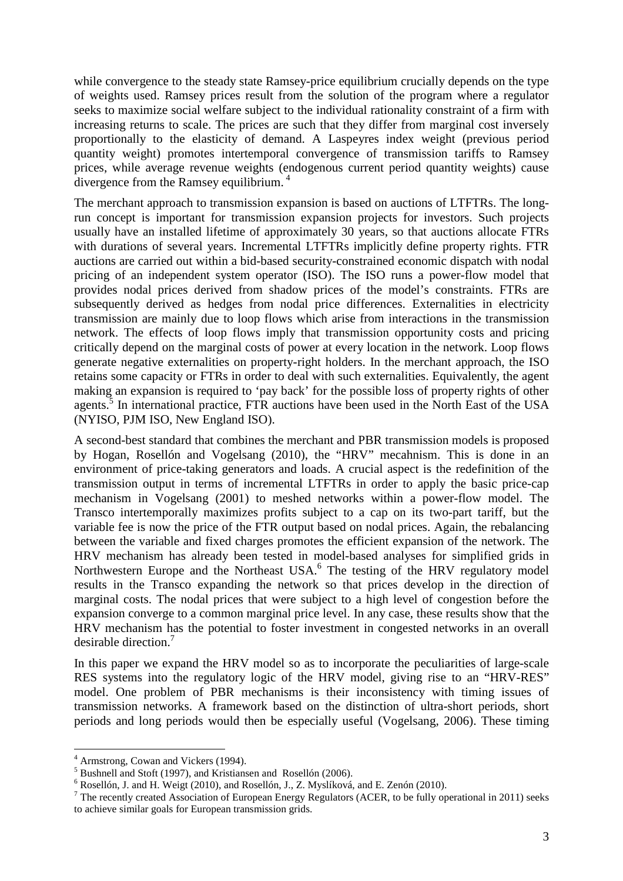while convergence to the steady state Ramsey-price equilibrium crucially depends on the type of weights used. Ramsey prices result from the solution of the program where a regulator seeks to maximize social welfare subject to the individual rationality constraint of a firm with increasing returns to scale. The prices are such that they differ from marginal cost inversely proportionally to the elasticity of demand. A Laspeyres index weight (previous period quantity weight) promotes intertemporal convergence of transmission tariffs to Ramsey prices, while average revenue weights (endogenous current period quantity weights) cause divergence from the Ramsey equilibrium.<sup>4</sup>

The merchant approach to transmission expansion is based on auctions of LTFTRs. The longrun concept is important for transmission expansion projects for investors. Such projects usually have an installed lifetime of approximately 30 years, so that auctions allocate FTRs with durations of several years. Incremental LTFTRs implicitly define property rights. FTR auctions are carried out within a bid-based security-constrained economic dispatch with nodal pricing of an independent system operator (ISO). The ISO runs a power-flow model that provides nodal prices derived from shadow prices of the model's constraints. FTRs are subsequently derived as hedges from nodal price differences. Externalities in electricity transmission are mainly due to loop flows which arise from interactions in the transmission network. The effects of loop flows imply that transmission opportunity costs and pricing critically depend on the marginal costs of power at every location in the network. Loop flows generate negative externalities on property-right holders. In the merchant approach, the ISO retains some capacity or FTRs in order to deal with such externalities. Equivalently, the agent making an expansion is required to 'pay back' for the possible loss of property rights of other agents.<sup>5</sup> In international practice, FTR auctions have been used in the North East of the USA (NYISO, PJM ISO, New England ISO).

A second-best standard that combines the merchant and PBR transmission models is proposed by Hogan, Rosellón and Vogelsang (2010), the "HRV" mecahnism. This is done in an environment of price-taking generators and loads. A crucial aspect is the redefinition of the transmission output in terms of incremental LTFTRs in order to apply the basic price-cap mechanism in Vogelsang (2001) to meshed networks within a power-flow model. The Transco intertemporally maximizes profits subject to a cap on its two-part tariff, but the variable fee is now the price of the FTR output based on nodal prices. Again, the rebalancing between the variable and fixed charges promotes the efficient expansion of the network. The HRV mechanism has already been tested in model-based analyses for simplified grids in Northwestern Europe and the Northeast USA.<sup>6</sup> The testing of the HRV regulatory model results in the Transco expanding the network so that prices develop in the direction of marginal costs. The nodal prices that were subject to a high level of congestion before the expansion converge to a common marginal price level. In any case, these results show that the HRV mechanism has the potential to foster investment in congested networks in an overall desirable direction.<sup>7</sup>

In this paper we expand the HRV model so as to incorporate the peculiarities of large-scale RES systems into the regulatory logic of the HRV model, giving rise to an "HRV-RES" model. One problem of PBR mechanisms is their inconsistency with timing issues of transmission networks. A framework based on the distinction of ultra-short periods, short periods and long periods would then be especially useful (Vogelsang, 2006). These timing

 4 Armstrong, Cowan and Vickers (1994).

<sup>5</sup> Bushnell and Stoft (1997), and Kristiansen and Rosellón (2006).

 $6$  Rosellón, J. and H. Weigt (2010), and Rosellón, J., Z. Myslíková, and E. Zenón (2010).

<sup>&</sup>lt;sup>7</sup> The recently created Association of European Energy Regulators (ACER, to be fully operational in 2011) seeks to achieve similar goals for European transmission grids.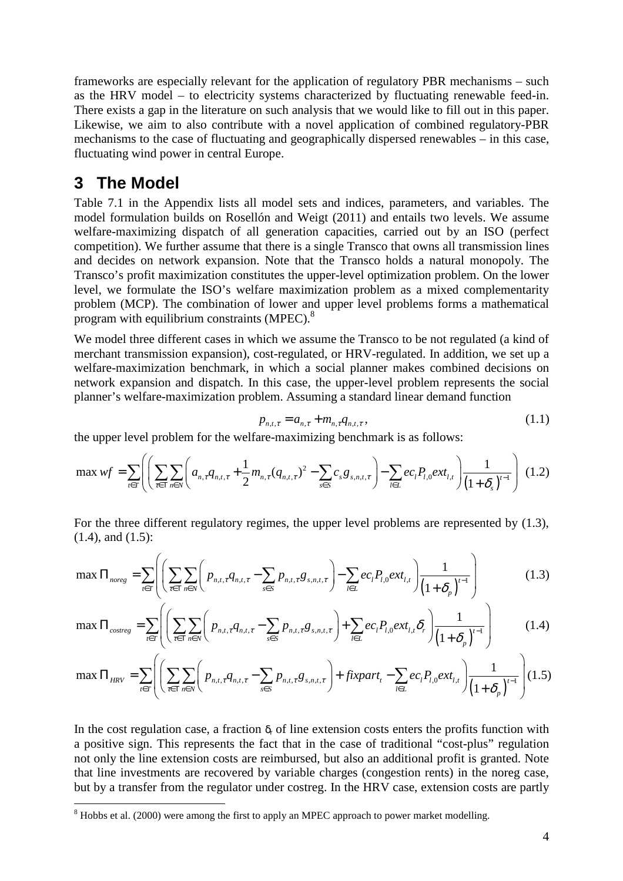frameworks are especially relevant for the application of regulatory PBR mechanisms – such as the HRV model – to electricity systems characterized by fluctuating renewable feed-in. There exists a gap in the literature on such analysis that we would like to fill out in this paper. Likewise, we aim to also contribute with a novel application of combined regulatory-PBR mechanisms to the case of fluctuating and geographically dispersed renewables – in this case, fluctuating wind power in central Europe.

## **3 The Model**

Table 7.1 in the Appendix lists all model sets and indices, parameters, and variables. The model formulation builds on Rosellón and Weigt (2011) and entails two levels. We assume welfare-maximizing dispatch of all generation capacities, carried out by an ISO (perfect competition). We further assume that there is a single Transco that owns all transmission lines and decides on network expansion. Note that the Transco holds a natural monopoly. The Transco's profit maximization constitutes the upper-level optimization problem. On the lower level, we formulate the ISO's welfare maximization problem as a mixed complementarity problem (MCP). The combination of lower and upper level problems forms a mathematical program with equilibrium constraints (MPEC).<sup>8</sup>

We model three different cases in which we assume the Transco to be not regulated (a kind of merchant transmission expansion), cost-regulated, or HRV-regulated. In addition, we set up a welfare-maximization benchmark, in which a social planner makes combined decisions on network expansion and dispatch. In this case, the upper-level problem represents the social planner's welfare-maximization problem. Assuming a standard linear demand function

$$
p_{n,t,\tau} = a_{n,\tau} + m_{n,\tau} q_{n,t,\tau},
$$
\n(1.1)

the upper level problem for the welfare-maximizing benchmark is as follows:

$$
\max \, wf = \sum_{t \in T} \left( \left( \sum_{\tau \in T} \sum_{n \in N} \left( a_{n,\tau} q_{n,t,\tau} + \frac{1}{2} m_{n,\tau} (q_{n,t,\tau})^2 - \sum_{s \in S} c_s g_{s,n,t,\tau} \right) - \sum_{l \in L} e c_l P_{l,0} e x t_{l,t} \right) \frac{1}{\left( 1 + \delta_s \right)^{t-1}} \right) \tag{1.2}
$$

For the three different regulatory regimes, the upper level problems are represented by (1.3), (1.4), and (1.5):

$$
\max \Pi_{\text{noreg}} = \sum_{t \in T} \left( \left( \sum_{\tau \in T} \sum_{n \in N} \left( p_{n,t,\tau} q_{n,t,\tau} - \sum_{s \in S} p_{n,t,\tau} g_{s,n,t,\tau} \right) - \sum_{l \in L} e c_l P_{l,0} e x t_{l,t} \right) \frac{1}{\left( 1 + \delta_p \right)^{t-1}} \right) \tag{1.3}
$$

$$
\max \Pi_{\text{cos}treg} = \sum_{t \in T} \left( \left( \sum_{\tau \in T} \sum_{n \in N} \left( p_{n,t,\tau} q_{n,t,\tau} - \sum_{s \in S} p_{n,t,\tau} g_{s,n,t,\tau} \right) + \sum_{l \in L} e c_l P_{l,0} e^{xt} I_{l,\tau} \delta_r \right) \frac{1}{\left( 1 + \delta_p \right)^{t-1}} \right) \tag{1.4}
$$

$$
\max \Pi_{HRV} = \sum_{t \in T} \left( \left( \sum_{\tau \in T} \sum_{n \in N} \left( p_{n,t,\tau} q_{n,t,\tau} - \sum_{s \in S} p_{n,t,\tau} g_{s,n,t,\tau} \right) + \text{fixpart}_{t} - \sum_{l \in L} e c_l P_{l,0} \text{ext}_{l,t} \right) \frac{1}{\left( 1 + \delta_p \right)^{t-1}} \right) (1.5)
$$

In the cost regulation case, a fraction  $\delta_r$  of line extension costs enters the profits function with a positive sign. This represents the fact that in the case of traditional "cost-plus" regulation not only the line extension costs are reimbursed, but also an additional profit is granted. Note that line investments are recovered by variable charges (congestion rents) in the noreg case, but by a transfer from the regulator under costreg. In the HRV case, extension costs are partly

<sup>&</sup>lt;sup>8</sup> Hobbs et al. (2000) were among the first to apply an MPEC approach to power market modelling.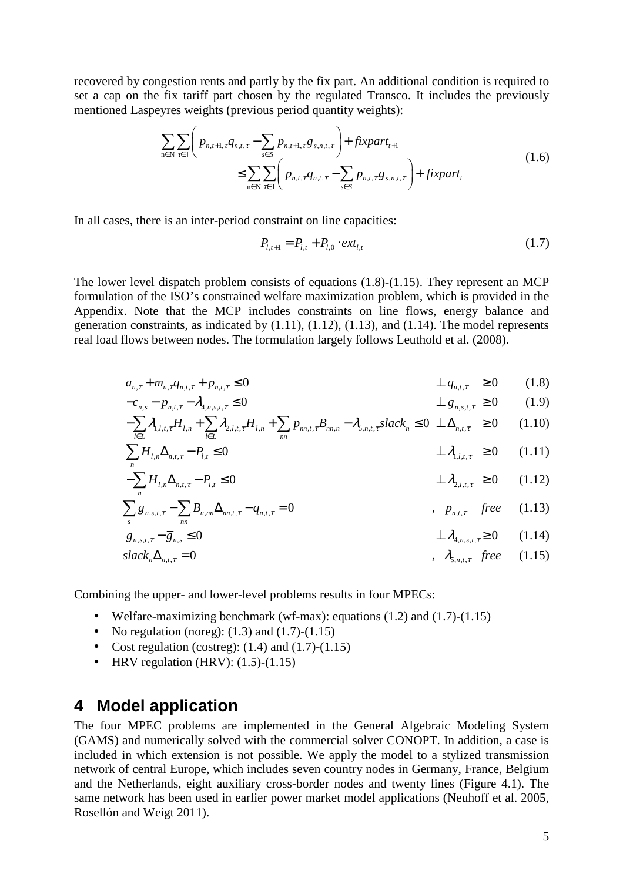recovered by congestion rents and partly by the fix part. An additional condition is required to set a cap on the fix tariff part chosen by the regulated Transco. It includes the previously mentioned Laspeyres weights (previous period quantity weights):

$$
\sum_{n\in\mathbb{N}}\sum_{\tau\in\mathbb{T}}\left(p_{n,t+1,\tau}q_{n,t,\tau}-\sum_{s\in S}p_{n,t+1,\tau}g_{s,n,t,\tau}\right)+fixpart_{t+1}\n\leq \sum_{n\in\mathbb{N}}\sum_{\tau\in\mathbb{T}}\left(p_{n,t,\tau}q_{n,t,\tau}-\sum_{s\in S}p_{n,t,\tau}g_{s,n,t,\tau}\right)+fixpart_t
$$
\n(1.6)

In all cases, there is an inter-period constraint on line capacities:

$$
P_{l,t+1} = P_{l,t} + P_{l,0} \cdot ext_{l,t} \tag{1.7}
$$

The lower level dispatch problem consists of equations (1.8)-(1.15). They represent an MCP formulation of the ISO's constrained welfare maximization problem, which is provided in the Appendix. Note that the MCP includes constraints on line flows, energy balance and generation constraints, as indicated by  $(1.11)$ ,  $(1.12)$ ,  $(1.13)$ , and  $(1.14)$ . The model represents real load flows between nodes. The formulation largely follows Leuthold et al. (2008).

$$
a_{n,\tau} + m_{n,\tau} q_{n,t,\tau} + p_{n,t,\tau} \le 0 \qquad \qquad \perp q_{n,t,\tau} \ge 0 \qquad (1.8)
$$

$$
-c_{n,s} - p_{n,t,\tau} - \lambda_{4,n,s,t,\tau} \le 0 \qquad \qquad \perp g_{n,s,t,\tau} \ge 0 \qquad (1.9)
$$

$$
-\sum_{l\in L} \lambda_{1,l,t,\tau} H_{l,n} + \sum_{l\in L} \lambda_{2,l,t,\tau} H_{l,n} + \sum_{nn} p_{nn,t,\tau} B_{nn,n} - \lambda_{5,n,t,\tau} slack_n \le 0 \perp \Delta_{n,t,\tau} \ge 0 \tag{1.10}
$$

$$
\sum_{n} H_{l,n} \Delta_{n,t,\tau} - P_{l,t} \le 0 \qquad \qquad \perp \lambda_{1,l,t,\tau} \ge 0 \qquad (1.11)
$$

$$
-\sum_{n} H_{l,n} \Delta_{n,t,\tau} - P_{l,t} \le 0 \qquad \qquad \perp \lambda_{2,l,t,\tau} \ge 0 \qquad (1.12)
$$

$$
\sum_{s} g_{n,s,t,\tau} - \sum_{nn} B_{n,m} \Delta_{nn,t,\tau} - q_{n,t,\tau} = 0 \qquad , \qquad p_{n,t,\tau} \quad free \qquad (1.13)
$$

$$
g_{n,s,t,\tau} - \overline{g}_{n,s} \le 0 \qquad \qquad \perp \mathcal{A}_{4,n,s,t,\tau} \ge 0 \qquad (1.14)
$$

$$
slackn \Deltan,t,\tau = 0 \qquad , \quad \lambda_{5,n,t,\tau} \, free \qquad (1.15)
$$

Combining the upper- and lower-level problems results in four MPECs:

- Welfare-maximizing benchmark (wf-max): equations  $(1.2)$  and  $(1.7)-(1.15)$
- No regulation (noreg):  $(1.3)$  and  $(1.7)$ - $(1.15)$
- Cost regulation (costreg):  $(1.4)$  and  $(1.7)-(1.15)$
- HRV regulation (HRV):  $(1.5)-(1.15)$

#### **4 Model application**

The four MPEC problems are implemented in the General Algebraic Modeling System (GAMS) and numerically solved with the commercial solver CONOPT. In addition, a case is included in which extension is not possible. We apply the model to a stylized transmission network of central Europe, which includes seven country nodes in Germany, France, Belgium and the Netherlands, eight auxiliary cross-border nodes and twenty lines (Figure 4.1). The same network has been used in earlier power market model applications (Neuhoff et al. 2005, Rosellón and Weigt 2011).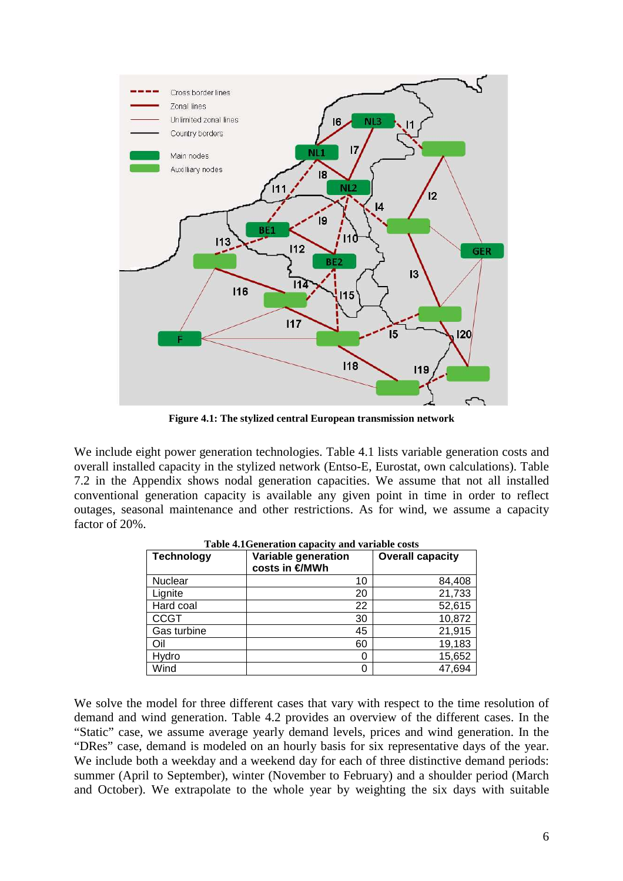

**Figure 4.1: The stylized central European transmission network** 

We include eight power generation technologies. Table 4.1 lists variable generation costs and overall installed capacity in the stylized network (Entso-E, Eurostat, own calculations). Table 7.2 in the Appendix shows nodal generation capacities. We assume that not all installed conventional generation capacity is available any given point in time in order to reflect outages, seasonal maintenance and other restrictions. As for wind, we assume a capacity factor of 20%.

| <b>Technology</b> | Variable generation | <b>Overall capacity</b> |
|-------------------|---------------------|-------------------------|
|                   | costs in €/MWh      |                         |
| Nuclear           | 10                  | 84,408                  |
| Lignite           | 20                  | 21,733                  |
| Hard coal         | 22                  | 52,615                  |
| <b>CCGT</b>       | 30                  | 10,872                  |
| Gas turbine       | 45                  | 21,915                  |
| Oil               | 60                  | 19,183                  |
| Hydro             |                     | 15,652                  |
| Wind              |                     | 47,694                  |

**Table 4.1Generation capacity and variable costs** 

We solve the model for three different cases that vary with respect to the time resolution of demand and wind generation. Table 4.2 provides an overview of the different cases. In the "Static" case, we assume average yearly demand levels, prices and wind generation. In the "DRes" case, demand is modeled on an hourly basis for six representative days of the year. We include both a weekday and a weekend day for each of three distinctive demand periods: summer (April to September), winter (November to February) and a shoulder period (March and October). We extrapolate to the whole year by weighting the six days with suitable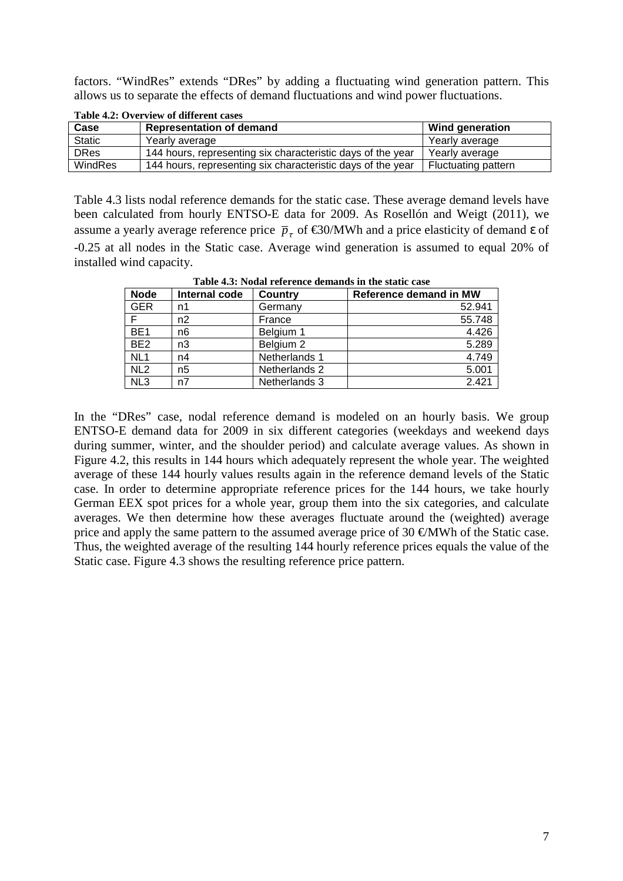factors. "WindRes" extends "DRes" by adding a fluctuating wind generation pattern. This allows us to separate the effects of demand fluctuations and wind power fluctuations.

| Case          | <b>Representation of demand</b>                             | Wind generation            |  |  |  |  |  |
|---------------|-------------------------------------------------------------|----------------------------|--|--|--|--|--|
| <b>Static</b> | Yearly average                                              | Yearly average             |  |  |  |  |  |
| <b>DRes</b>   | 144 hours, representing six characteristic days of the year | Yearly average             |  |  |  |  |  |
| WindRes       | 144 hours, representing six characteristic days of the year | <b>Fluctuating pattern</b> |  |  |  |  |  |

**Table 4.2: Overview of different cases** 

Table 4.3 lists nodal reference demands for the static case. These average demand levels have been calculated from hourly ENTSO-E data for 2009. As Rosellón and Weigt (2011), we assume a yearly average reference price  $\bar{p}_r$  of  $\in$ 30/MWh and a price elasticity of demands of -0.25 at all nodes in the Static case. Average wind generation is assumed to equal 20% of installed wind capacity.

|                 | 1 WAJA 1909 TUZIMI I VIVI VIITT MUIIMIIMA III VIIT AMATT CHAA |               |                        |  |  |  |  |
|-----------------|---------------------------------------------------------------|---------------|------------------------|--|--|--|--|
| <b>Node</b>     | Internal code                                                 | Country       | Reference demand in MW |  |  |  |  |
| <b>GER</b>      | n1                                                            | Germany       | 52.941                 |  |  |  |  |
|                 | n2                                                            | France        | 55.748                 |  |  |  |  |
| BE <sub>1</sub> | n6                                                            | Belgium 1     | 4.426                  |  |  |  |  |
| BE <sub>2</sub> | n3                                                            | Belgium 2     | 5.289                  |  |  |  |  |
| NL <sub>1</sub> | n4                                                            | Netherlands 1 | 4.749                  |  |  |  |  |
| NL <sub>2</sub> | n5                                                            | Netherlands 2 | 5.001                  |  |  |  |  |
| NL3             | n7                                                            | Netherlands 3 | 2.421                  |  |  |  |  |

**Table 4.3: Nodal reference demands in the static case** 

In the "DRes" case, nodal reference demand is modeled on an hourly basis. We group ENTSO-E demand data for 2009 in six different categories (weekdays and weekend days during summer, winter, and the shoulder period) and calculate average values. As shown in Figure 4.2, this results in 144 hours which adequately represent the whole year. The weighted average of these 144 hourly values results again in the reference demand levels of the Static case. In order to determine appropriate reference prices for the 144 hours, we take hourly German EEX spot prices for a whole year, group them into the six categories, and calculate averages. We then determine how these averages fluctuate around the (weighted) average price and apply the same pattern to the assumed average price of 30  $\epsilon$ /MWh of the Static case. Thus, the weighted average of the resulting 144 hourly reference prices equals the value of the Static case. Figure 4.3 shows the resulting reference price pattern.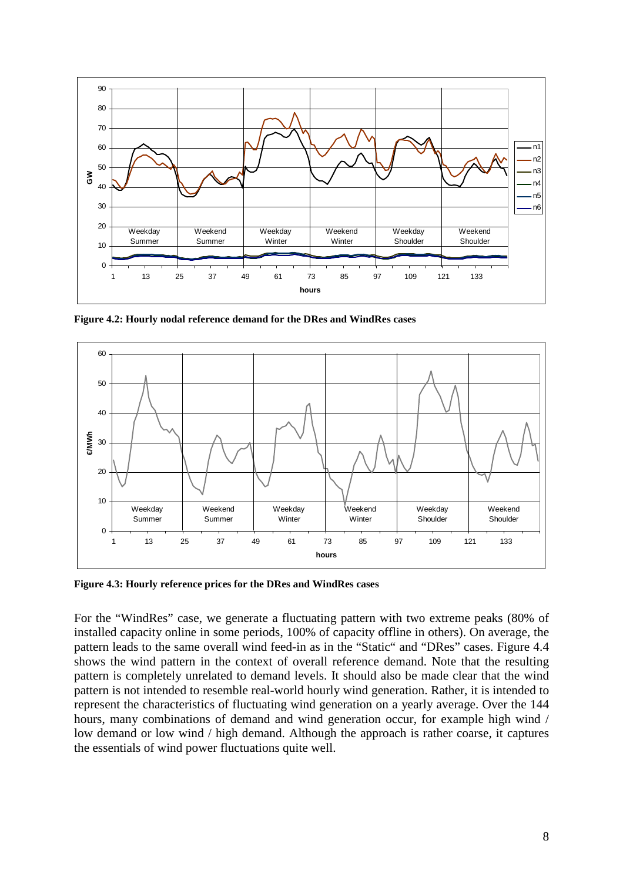

**Figure 4.2: Hourly nodal reference demand for the DRes and WindRes cases** 



**Figure 4.3: Hourly reference prices for the DRes and WindRes cases** 

For the "WindRes" case, we generate a fluctuating pattern with two extreme peaks (80% of installed capacity online in some periods, 100% of capacity offline in others). On average, the pattern leads to the same overall wind feed-in as in the "Static" and "DRes" cases. Figure 4.4 shows the wind pattern in the context of overall reference demand. Note that the resulting pattern is completely unrelated to demand levels. It should also be made clear that the wind pattern is not intended to resemble real-world hourly wind generation. Rather, it is intended to represent the characteristics of fluctuating wind generation on a yearly average. Over the 144 hours, many combinations of demand and wind generation occur, for example high wind / low demand or low wind / high demand. Although the approach is rather coarse, it captures the essentials of wind power fluctuations quite well.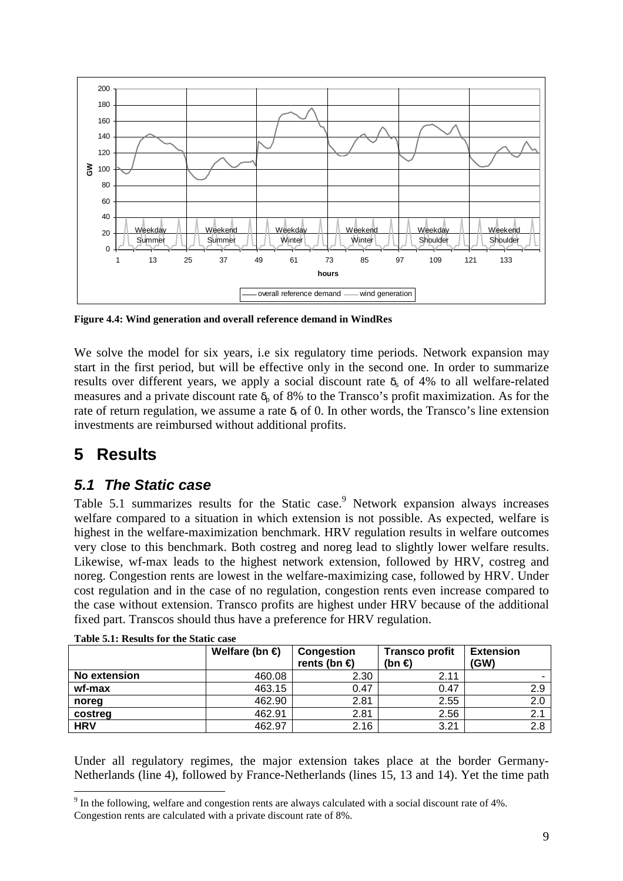

**Figure 4.4: Wind generation and overall reference demand in WindRes** 

We solve the model for six years, i.e six regulatory time periods. Network expansion may start in the first period, but will be effective only in the second one. In order to summarize results over different years, we apply a social discount rate  $\delta_s$  of 4% to all welfare-related measures and a private discount rate  $\delta_0$  of 8% to the Transco's profit maximization. As for the rate of return regulation, we assume a rate  $\delta_r$  of 0. In other words, the Transco's line extension investments are reimbursed without additional profits.

### **5 Results**

 $\overline{a}$ 

#### **5.1 The Static case**

Table 5.1 summarizes results for the Static case. Network expansion always increases welfare compared to a situation in which extension is not possible. As expected, welfare is highest in the welfare-maximization benchmark. HRV regulation results in welfare outcomes very close to this benchmark. Both costreg and noreg lead to slightly lower welfare results. Likewise, wf-max leads to the highest network extension, followed by HRV, costreg and noreg. Congestion rents are lowest in the welfare-maximizing case, followed by HRV. Under cost regulation and in the case of no regulation, congestion rents even increase compared to the case without extension. Transco profits are highest under HRV because of the additional fixed part. Transcos should thus have a preference for HRV regulation.

|              | Welfare (bn $\in$ ) | Congestion<br>rents (bn $\epsilon$ ) | <b>Transco profit</b><br>(bn $\epsilon$ ) | <b>Extension</b><br>(GW) |
|--------------|---------------------|--------------------------------------|-------------------------------------------|--------------------------|
| No extension | 460.08              | 2.30                                 | 2.11                                      | -                        |
| wf-max       | 463.15              | 0.47                                 | 0.47                                      | 2.9                      |
| noreg        | 462.90              | 2.81                                 | 2.55                                      | 2.0                      |
| costreg      | 462.91              | 2.81                                 | 2.56                                      | 2.                       |
| <b>HRV</b>   | 462.97              | 2.16                                 | 3.21                                      | 2.8                      |

**Table 5.1: Results for the Static case** 

Under all regulatory regimes, the major extension takes place at the border Germany-Netherlands (line 4), followed by France-Netherlands (lines 15, 13 and 14). Yet the time path

 $9$  In the following, welfare and congestion rents are always calculated with a social discount rate of 4%. Congestion rents are calculated with a private discount rate of 8%.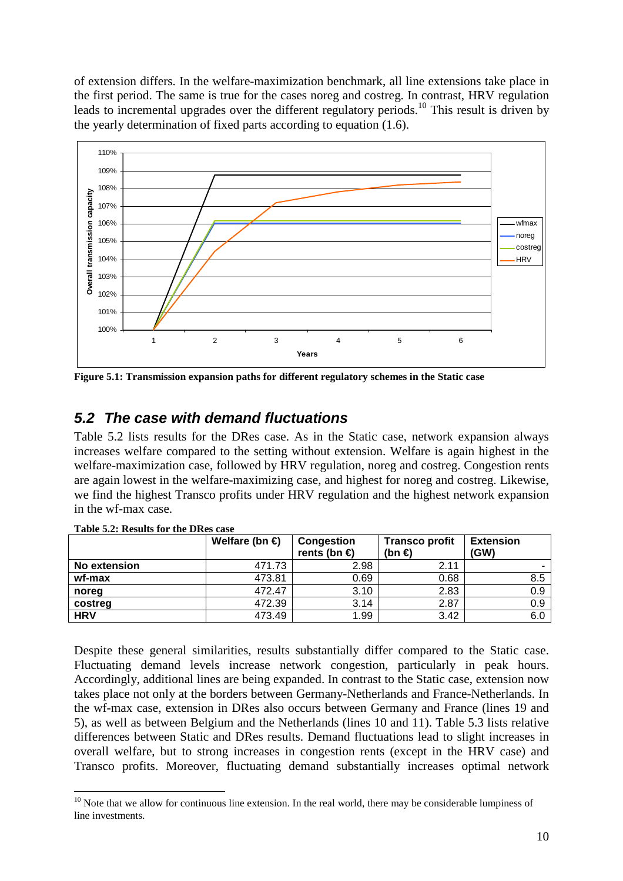of extension differs. In the welfare-maximization benchmark, all line extensions take place in the first period. The same is true for the cases noreg and costreg. In contrast, HRV regulation leads to incremental upgrades over the different regulatory periods.<sup>10</sup> This result is driven by the yearly determination of fixed parts according to equation (1.6).



**Figure 5.1: Transmission expansion paths for different regulatory schemes in the Static case** 

#### **5.2 The case with demand fluctuations**

Table 5.2 lists results for the DRes case. As in the Static case, network expansion always increases welfare compared to the setting without extension. Welfare is again highest in the welfare-maximization case, followed by HRV regulation, noreg and costreg. Congestion rents are again lowest in the welfare-maximizing case, and highest for noreg and costreg. Likewise, we find the highest Transco profits under HRV regulation and the highest network expansion in the wf-max case.

|              | Welfare (bn $\epsilon$ ) | Congestion<br>rents (bn $\epsilon$ ) | <b>Transco profit</b><br>(bn $\epsilon$ ) | <b>Extension</b><br>(GW) |
|--------------|--------------------------|--------------------------------------|-------------------------------------------|--------------------------|
| No extension | 471.73                   | 2.98                                 | 2.11                                      |                          |
| wf-max       | 473.81                   | 0.69                                 | 0.68                                      | 8.5                      |
| noreg        | 472.47                   | 3.10                                 | 2.83                                      | 0.9                      |
| costreg      | 472.39                   | 3.14                                 | 2.87                                      | 0.9                      |
| <b>HRV</b>   | 473.49                   | 1.99                                 | 3.42                                      | 6.0                      |

**Table 5.2: Results for the DRes case** 

 $\overline{a}$ 

Despite these general similarities, results substantially differ compared to the Static case. Fluctuating demand levels increase network congestion, particularly in peak hours. Accordingly, additional lines are being expanded. In contrast to the Static case, extension now takes place not only at the borders between Germany-Netherlands and France-Netherlands. In the wf-max case, extension in DRes also occurs between Germany and France (lines 19 and 5), as well as between Belgium and the Netherlands (lines 10 and 11). Table 5.3 lists relative differences between Static and DRes results. Demand fluctuations lead to slight increases in overall welfare, but to strong increases in congestion rents (except in the HRV case) and Transco profits. Moreover, fluctuating demand substantially increases optimal network

<sup>&</sup>lt;sup>10</sup> Note that we allow for continuous line extension. In the real world, there may be considerable lumpiness of line investments.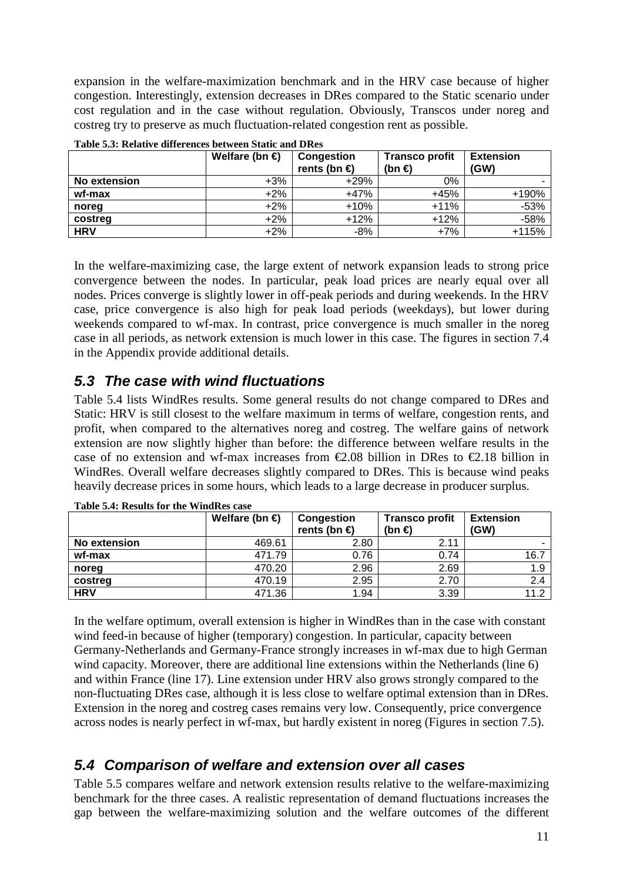expansion in the welfare-maximization benchmark and in the HRV case because of higher congestion. Interestingly, extension decreases in DRes compared to the Static scenario under cost regulation and in the case without regulation. Obviously, Transcos under noreg and costreg try to preserve as much fluctuation-related congestion rent as possible.

|              | Welfare (bn $\in$ ) | Congestion<br>rents (bn $\epsilon$ ) | <b>Transco profit</b><br>(bn $\epsilon$ ) | <b>Extension</b><br>(GW) |
|--------------|---------------------|--------------------------------------|-------------------------------------------|--------------------------|
| No extension | +3%                 | $+29%$                               | 0%                                        |                          |
| wf-max       | $+2\%$              | $+47%$                               | $+45%$                                    | +190%                    |
| noreg        | $+2\%$              | $+10%$                               | $+11%$                                    | $-53%$                   |
| costreg      | +2%                 | $+12%$                               | $+12%$                                    | $-58%$                   |
| <b>HRV</b>   | $+2\%$              | -8%                                  | $+7%$                                     | $+115%$                  |

**Table 5.3: Relative differences between Static and DRes** 

In the welfare-maximizing case, the large extent of network expansion leads to strong price convergence between the nodes. In particular, peak load prices are nearly equal over all nodes. Prices converge is slightly lower in off-peak periods and during weekends. In the HRV case, price convergence is also high for peak load periods (weekdays), but lower during weekends compared to wf-max. In contrast, price convergence is much smaller in the noreg case in all periods, as network extension is much lower in this case. The figures in section 7.4 in the Appendix provide additional details.

### **5.3 The case with wind fluctuations**

Table 5.4 lists WindRes results. Some general results do not change compared to DRes and Static: HRV is still closest to the welfare maximum in terms of welfare, congestion rents, and profit, when compared to the alternatives noreg and costreg. The welfare gains of network extension are now slightly higher than before: the difference between welfare results in the case of no extension and wf-max increases from  $\epsilon$ 2.08 billion in DRes to  $\epsilon$ 2.18 billion in WindRes. Overall welfare decreases slightly compared to DRes. This is because wind peaks heavily decrease prices in some hours, which leads to a large decrease in producer surplus.

|                     | Welfare (bn $\in$ ) | Congestion             | <b>Transco profit</b> | <b>Extension</b> |
|---------------------|---------------------|------------------------|-----------------------|------------------|
|                     |                     | rents (bn $\epsilon$ ) | (bn $\epsilon$ )      | (GW)             |
| <b>No extension</b> | 469.61              | 2.80                   | 2.11                  |                  |
| wf-max              | 471.79              | 0.76                   | 0.74                  | 16.7             |
| noreg               | 470.20              | 2.96                   | 2.69                  | 1.9              |
| costreg             | 470.19              | 2.95                   | 2.70                  | 2.4              |
| <b>HRV</b>          | 471.36              | 1.94                   | 3.39                  | 11.2             |

**Table 5.4: Results for the WindRes case** 

In the welfare optimum, overall extension is higher in WindRes than in the case with constant wind feed-in because of higher (temporary) congestion. In particular, capacity between Germany-Netherlands and Germany-France strongly increases in wf-max due to high German wind capacity. Moreover, there are additional line extensions within the Netherlands (line 6) and within France (line 17). Line extension under HRV also grows strongly compared to the non-fluctuating DRes case, although it is less close to welfare optimal extension than in DRes. Extension in the noreg and costreg cases remains very low. Consequently, price convergence across nodes is nearly perfect in wf-max, but hardly existent in noreg (Figures in section 7.5).

### **5.4 Comparison of welfare and extension over all cases**

Table 5.5 compares welfare and network extension results relative to the welfare-maximizing benchmark for the three cases. A realistic representation of demand fluctuations increases the gap between the welfare-maximizing solution and the welfare outcomes of the different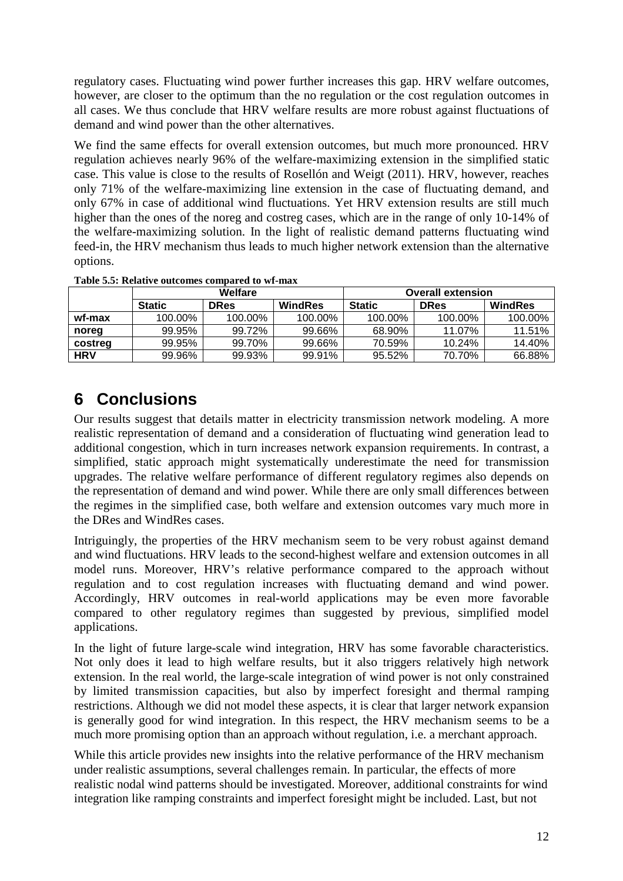regulatory cases. Fluctuating wind power further increases this gap. HRV welfare outcomes, however, are closer to the optimum than the no regulation or the cost regulation outcomes in all cases. We thus conclude that HRV welfare results are more robust against fluctuations of demand and wind power than the other alternatives.

We find the same effects for overall extension outcomes, but much more pronounced. HRV regulation achieves nearly 96% of the welfare-maximizing extension in the simplified static case. This value is close to the results of Rosellón and Weigt (2011). HRV, however, reaches only 71% of the welfare-maximizing line extension in the case of fluctuating demand, and only 67% in case of additional wind fluctuations. Yet HRV extension results are still much higher than the ones of the noreg and costreg cases, which are in the range of only 10-14% of the welfare-maximizing solution. In the light of realistic demand patterns fluctuating wind feed-in, the HRV mechanism thus leads to much higher network extension than the alternative options.

|            |               | Welfare |         | <b>Overall extension</b> |             |         |  |
|------------|---------------|---------|---------|--------------------------|-------------|---------|--|
|            | <b>Static</b> | DRes    | WindRes | <b>Static</b>            | <b>DRes</b> | WindRes |  |
| wf-max     | 100.00%       | 100.00% | 100.00% | 100.00%                  | 100.00%     | 100.00% |  |
| noreg      | 99.95%        | 99.72%  | 99.66%  | 68.90%                   | 11.07%      | 11.51%  |  |
| costreg    | 99.95%        | 99.70%  | 99.66%  | 70.59%                   | 10.24%      | 14.40%  |  |
| <b>HRV</b> | 99.96%        | 99.93%  | 99.91%  | 95.52%                   | 70.70%      | 66.88%  |  |

**Table 5.5: Relative outcomes compared to wf-max** 

## **6 Conclusions**

Our results suggest that details matter in electricity transmission network modeling. A more realistic representation of demand and a consideration of fluctuating wind generation lead to additional congestion, which in turn increases network expansion requirements. In contrast, a simplified, static approach might systematically underestimate the need for transmission upgrades. The relative welfare performance of different regulatory regimes also depends on the representation of demand and wind power. While there are only small differences between the regimes in the simplified case, both welfare and extension outcomes vary much more in the DRes and WindRes cases.

Intriguingly, the properties of the HRV mechanism seem to be very robust against demand and wind fluctuations. HRV leads to the second-highest welfare and extension outcomes in all model runs. Moreover, HRV's relative performance compared to the approach without regulation and to cost regulation increases with fluctuating demand and wind power. Accordingly, HRV outcomes in real-world applications may be even more favorable compared to other regulatory regimes than suggested by previous, simplified model applications.

In the light of future large-scale wind integration, HRV has some favorable characteristics. Not only does it lead to high welfare results, but it also triggers relatively high network extension. In the real world, the large-scale integration of wind power is not only constrained by limited transmission capacities, but also by imperfect foresight and thermal ramping restrictions. Although we did not model these aspects, it is clear that larger network expansion is generally good for wind integration. In this respect, the HRV mechanism seems to be a much more promising option than an approach without regulation, i.e. a merchant approach.

While this article provides new insights into the relative performance of the HRV mechanism under realistic assumptions, several challenges remain. In particular, the effects of more realistic nodal wind patterns should be investigated. Moreover, additional constraints for wind integration like ramping constraints and imperfect foresight might be included. Last, but not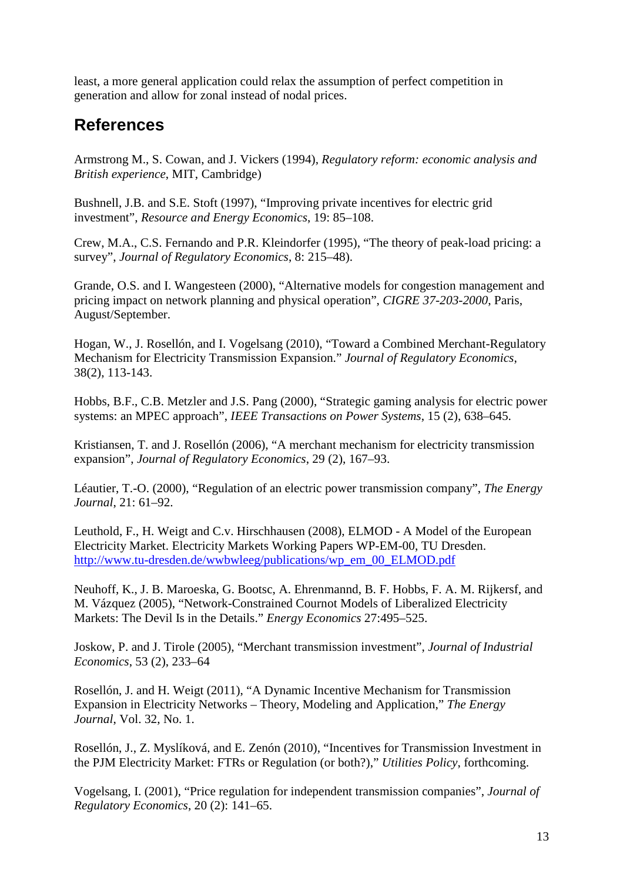least, a more general application could relax the assumption of perfect competition in generation and allow for zonal instead of nodal prices.

## **References**

Armstrong M., S. Cowan, and J. Vickers (1994), *Regulatory reform: economic analysis and British experience*, MIT, Cambridge)

Bushnell, J.B. and S.E. Stoft (1997), "Improving private incentives for electric grid investment", *Resource and Energy Economics*, 19: 85–108.

Crew, M.A., C.S. Fernando and P.R. Kleindorfer (1995), "The theory of peak-load pricing: a survey", *Journal of Regulatory Economics*, 8: 215–48).

Grande, O.S. and I. Wangesteen (2000), "Alternative models for congestion management and pricing impact on network planning and physical operation", *CIGRE 37-203-2000*, Paris, August/September.

Hogan, W., J. Rosellón, and I. Vogelsang (2010), "Toward a Combined Merchant-Regulatory Mechanism for Electricity Transmission Expansion." *Journal of Regulatory Economics*, 38(2), 113-143.

Hobbs, B.F., C.B. Metzler and J.S. Pang (2000), "Strategic gaming analysis for electric power systems: an MPEC approach", *IEEE Transactions on Power Systems*, 15 (2), 638–645.

Kristiansen, T. and J. Rosellón (2006), "A merchant mechanism for electricity transmission expansion", *Journal of Regulatory Economics*, 29 (2), 167–93.

Léautier, T.-O. (2000), "Regulation of an electric power transmission company", *The Energy Journal*, 21: 61–92.

Leuthold, F., H. Weigt and C.v. Hirschhausen (2008), ELMOD - A Model of the European Electricity Market. Electricity Markets Working Papers WP-EM-00, TU Dresden. http://www.tu-dresden.de/wwbwleeg/publications/wp\_em\_00\_ELMOD.pdf

Neuhoff, K., J. B. Maroeska, G. Bootsc, A. Ehrenmannd, B. F. Hobbs, F. A. M. Rijkersf, and M. Vázquez (2005), "Network-Constrained Cournot Models of Liberalized Electricity Markets: The Devil Is in the Details." *Energy Economics* 27:495–525.

Joskow, P. and J. Tirole (2005), "Merchant transmission investment", *Journal of Industrial Economics*, 53 (2), 233–64

Rosellón, J. and H. Weigt (2011), "A Dynamic Incentive Mechanism for Transmission Expansion in Electricity Networks – Theory, Modeling and Application," *The Energy Journal*, Vol. 32, No. 1.

Rosellón, J., Z. Myslíková, and E. Zenón (2010), "Incentives for Transmission Investment in the PJM Electricity Market: FTRs or Regulation (or both?)," *Utilities Policy*, forthcoming.

Vogelsang, I. (2001), "Price regulation for independent transmission companies", *Journal of Regulatory Economics*, 20 (2): 141–65.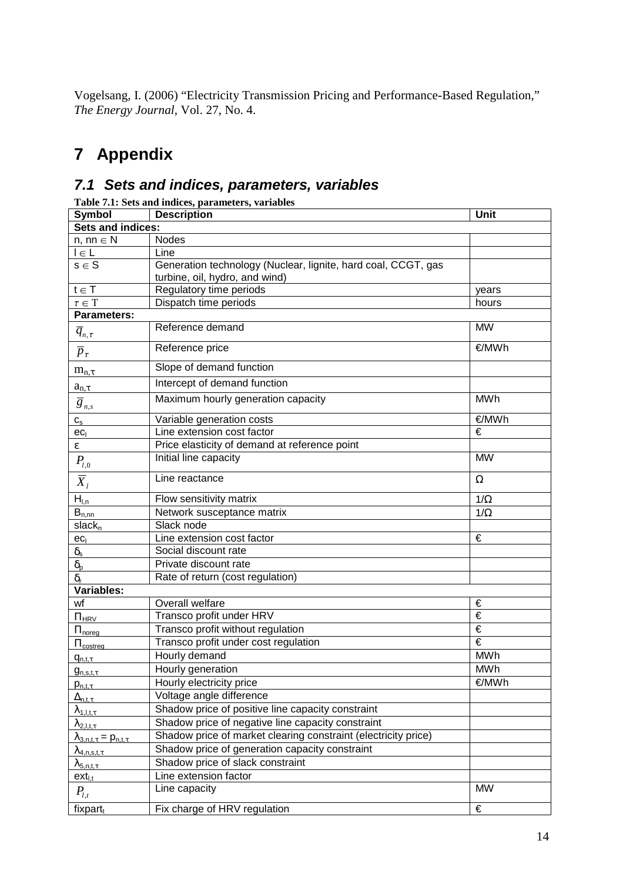Vogelsang, I. (2006) "Electricity Transmission Pricing and Performance-Based Regulation," *The Energy Journal*, Vol. 27, No. 4.

# **7 Appendix**

#### **7.1 Sets and indices, parameters, variables**

| Table 7.1: Sets and indices, parameters, variables |                                                                |            |  |  |  |
|----------------------------------------------------|----------------------------------------------------------------|------------|--|--|--|
| Symbol                                             | <b>Description</b>                                             | Unit       |  |  |  |
| Sets and indices:                                  |                                                                |            |  |  |  |
| $n, nn \in N$                                      | <b>Nodes</b>                                                   |            |  |  |  |
| $l \in L$                                          | Line                                                           |            |  |  |  |
| $s \in S$                                          | Generation technology (Nuclear, lignite, hard coal, CCGT, gas  |            |  |  |  |
|                                                    | turbine, oil, hydro, and wind)                                 |            |  |  |  |
| $t \in T$                                          | Regulatory time periods                                        | years      |  |  |  |
| $\tau\in\bar{T}$                                   | Dispatch time periods                                          | hours      |  |  |  |
| Parameters:                                        |                                                                |            |  |  |  |
| $\overline{q}_{\scriptscriptstyle n,\tau}$         | Reference demand                                               | <b>MW</b>  |  |  |  |
| $\overline{p}_\tau$                                | Reference price                                                | €/MWh      |  |  |  |
| $m_{n,\tau}$                                       | Slope of demand function                                       |            |  |  |  |
| $a_{n,\tau}$                                       | Intercept of demand function                                   |            |  |  |  |
| $\overline{g}_{n,s}$                               | Maximum hourly generation capacity                             | <b>MWh</b> |  |  |  |
| $\mathtt{C}_\mathtt{S}$                            | Variable generation costs                                      | €/MWh      |  |  |  |
| ec <sub>1</sub>                                    | Line extension cost factor                                     | €          |  |  |  |
| ε                                                  | Price elasticity of demand at reference point                  |            |  |  |  |
| $P_{l,0}$                                          | Initial line capacity                                          | <b>MW</b>  |  |  |  |
| $\overline{X}_l$                                   | Line reactance                                                 | Ω          |  |  |  |
| $H_{l,n}$                                          | Flow sensitivity matrix                                        | $1/\Omega$ |  |  |  |
| $B_{n,\underline{nn}}$                             | Network susceptance matrix                                     | $1/\Omega$ |  |  |  |
| slack <sub>n</sub>                                 | Slack node                                                     |            |  |  |  |
| ec <sub>l</sub>                                    | Line extension cost factor                                     | €          |  |  |  |
| $\delta_{\text{s}}$                                | Social discount rate                                           |            |  |  |  |
| $\delta_{\rm p}$                                   | Private discount rate                                          |            |  |  |  |
| $\delta_{\rm r}$                                   | Rate of return (cost regulation)                               |            |  |  |  |
| Variables:                                         |                                                                |            |  |  |  |
| wf                                                 | Overall welfare                                                | €          |  |  |  |
| $\Pi_{HRV}$                                        | Transco profit under HRV                                       | €          |  |  |  |
| $\Pi_{\text{noreg}}$                               | Transco profit without regulation                              | €          |  |  |  |
| $\Pi_{\text{costreg}}$                             | Transco profit under cost regulation                           | €          |  |  |  |
| $q_{n,t,\tau}$                                     | Hourly demand                                                  | <b>MWh</b> |  |  |  |
| $g_{n,s,t,\tau}$                                   | Hourly generation                                              | <b>MWh</b> |  |  |  |
| $p_{n,t,\tau}$                                     | Hourly electricity price                                       | €/MWh      |  |  |  |
| $\Delta_{n,t,\tau}$                                | Voltage angle difference                                       |            |  |  |  |
| $\lambda_{1,l,t,\tau}$                             | Shadow price of positive line capacity constraint              |            |  |  |  |
| $\lambda_{2,l,t,\tau}$                             | Shadow price of negative line capacity constraint              |            |  |  |  |
| $\lambda_{3,n,t,\tau} = p_{n,t,\tau}$              | Shadow price of market clearing constraint (electricity price) |            |  |  |  |
| $\lambda_{4,n,s,t,\tau}$                           | Shadow price of generation capacity constraint                 |            |  |  |  |
| $\lambda_{\underline{5,n,t,\tau}}$                 | Shadow price of slack constraint                               |            |  |  |  |
| $ext_{i,t}$                                        | Line extension factor                                          |            |  |  |  |
| $P_{l,t}$                                          | Line capacity                                                  | <b>MW</b>  |  |  |  |
| fixpart $t$                                        | Fix charge of HRV regulation                                   | €          |  |  |  |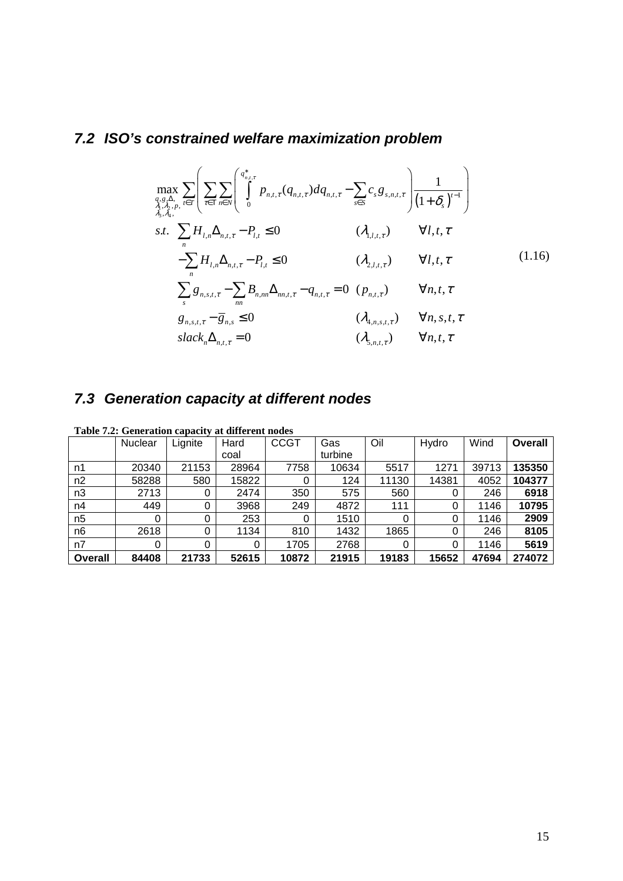## **7.2 ISO's constrained welfare maximization problem**

$$
\max_{\substack{q,s,\lambda,\\ \lambda_1,\lambda_2,\mu,\\ \lambda_3,\lambda_4,\mu}} \sum_{t \in T} \left( \sum_{\tau \in T} \sum_{n \in N} \left( \int_0^{q_{n,t,\tau}^*} p_{n,t,\tau} (q_{n,t,\tau}) dq_{n,t,\tau} - \sum_{s \in S} c_s g_{s,n,t,\tau} \right) \frac{1}{(1+\delta_s)^{t-1}} \right)
$$
\n
$$
s.t. \sum_{n} H_{l,n} \Delta_{n,t,\tau} - P_{l,t} \le 0 \qquad (\lambda_{1,l,t,\tau}) \qquad \forall l,t,\tau
$$
\n
$$
- \sum_{n} H_{l,n} \Delta_{n,t,\tau} - P_{l,t} \le 0 \qquad (\lambda_{2,l,t,\tau}) \qquad \forall l,t,\tau
$$
\n
$$
\sum_{s} g_{n,s,t,\tau} - \sum_{nn} B_{n,n} \Delta_{nn,t,\tau} - q_{n,t,\tau} = 0 \qquad (p_{n,t,\tau}) \qquad \forall n,t,\tau
$$
\n
$$
g_{n,s,t,\tau} - \overline{g}_{n,s} \le 0 \qquad (\lambda_{4,n,s,t,\tau}) \qquad \forall n,s,t,\tau
$$
\n
$$
slack_n \Delta_{n,t,\tau} = 0 \qquad (\lambda_{5,n,t,\tau}) \qquad \forall n,t,\tau
$$

# **7.3 Generation capacity at different nodes**

|                | Nuclear | Lignite | Hard  | <b>CCGT</b> | Gas     | Oil      | Hydro | Wind  | <b>Overall</b> |
|----------------|---------|---------|-------|-------------|---------|----------|-------|-------|----------------|
|                |         |         | coal  |             | turbine |          |       |       |                |
| n1             | 20340   | 21153   | 28964 | 7758        | 10634   | 5517     | 1271  | 39713 | 135350         |
| n2             | 58288   | 580     | 15822 | O           | 124     | 11130    | 14381 | 4052  | 104377         |
| n3             | 2713    | 0       | 2474  | 350         | 575     | 560      | 0     | 246   | 6918           |
| n4             | 449     |         | 3968  | 249         | 4872    | 111      | 0     | 1146  | 10795          |
| n <sub>5</sub> |         |         | 253   | 0           | 1510    | $\Omega$ | 0     | 1146  | 2909           |
| n <sub>6</sub> | 2618    |         | 1134  | 810         | 1432    | 1865     | 0     | 246   | 8105           |
| n7             |         |         | 0     | 1705        | 2768    | 0        | 0     | 1146  | 5619           |
| <b>Overall</b> | 84408   | 21733   | 52615 | 10872       | 21915   | 19183    | 15652 | 47694 | 274072         |

**Table 7.2: Generation capacity at different nodes**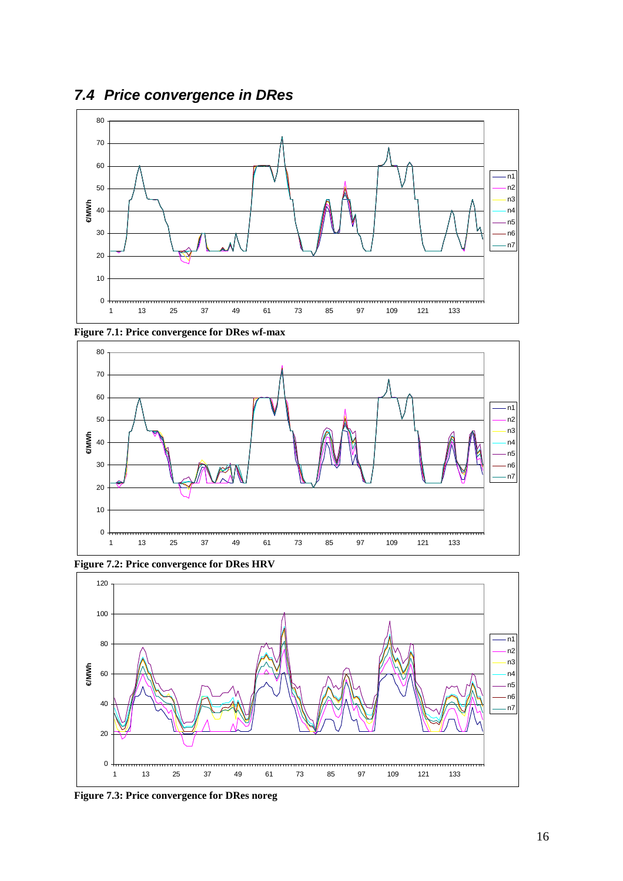



**Figure 7.1: Price convergence for DRes wf-max** 



**Figure 7.2: Price convergence for DRes HRV** 



**Figure 7.3: Price convergence for DRes noreg**